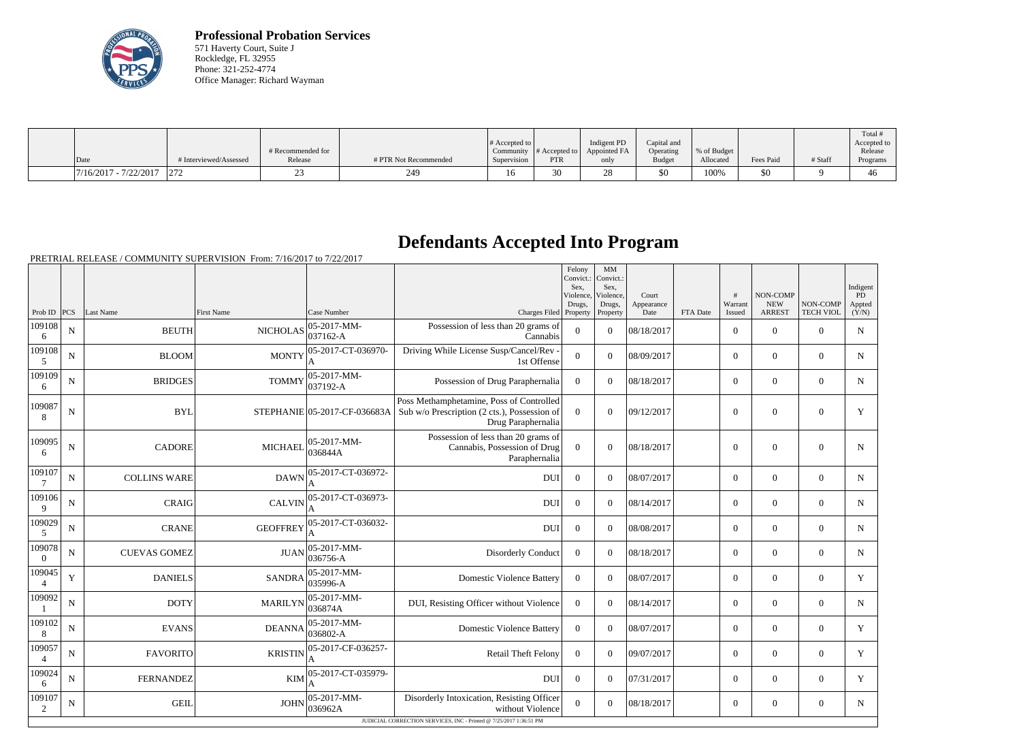

**Professional Probation Services** 571 Haverty Court, Suite J Rockledge, FL 32955 Phone: 321-252-4774 Office Manager: Richard Wayman

|                         |                        | # Recommended for |                       | $\#$ Accepted to $\ $ | Community $\#$ Accepted to | Indigent PD<br>Appointed FA | Capital and<br>Operating | % of Budget |           |         | Total<br>Accepted to<br>Release |
|-------------------------|------------------------|-------------------|-----------------------|-----------------------|----------------------------|-----------------------------|--------------------------|-------------|-----------|---------|---------------------------------|
| Date                    | # Interviewed/Assessed | Release           | # PTR Not Recommended | Supervision           | <b>PTR</b>                 | only                        | <b>Budget</b>            | Allocated   | Fees Paid | # Staff | Programs                        |
| $7/16/2017 - 7/22/2017$ |                        |                   |                       |                       | 30                         |                             | \$0                      | 100%        | \$0       |         | 40                              |

## **Defendants Accepted Into Program**

PRETRIAL RELEASE / COMMUNITY SUPERVISION From: 7/16/2017 to 7/22/2017

|                          |             |                     |                   |                              |                                                                                                                | Felony<br>Convict.:<br>Sex,<br>Violence.<br>Drugs, | MM<br>Convict.:<br>Sex,<br>Violence.<br>Drugs, | Court<br>Appearance |          | #<br>Warrant     | NON-COMP<br><b>NEW</b> | NON-COMP         | Indigent<br>PD.<br>Appted |
|--------------------------|-------------|---------------------|-------------------|------------------------------|----------------------------------------------------------------------------------------------------------------|----------------------------------------------------|------------------------------------------------|---------------------|----------|------------------|------------------------|------------------|---------------------------|
| Prob ID $ PCS $          |             | Last Name           | <b>First Name</b> | Case Number                  | Charges Filed Property                                                                                         |                                                    | Property                                       | Date                | FTA Date | Issued           | <b>ARREST</b>          | <b>TECH VIOL</b> | (Y/N)                     |
| 109108<br>6              | N           | <b>BEUTH</b>        | <b>NICHOLAS</b>   | 05-2017-MM-<br>037162-A      | Possession of less than 20 grams of<br>Cannabis                                                                | $\overline{0}$                                     | $\Omega$                                       | 08/18/2017          |          | $\overline{0}$   | $\boldsymbol{0}$       | $\overline{0}$   | ${\bf N}$                 |
| 109108<br>5              | $\mathbf N$ | <b>BLOOM</b>        | <b>MONTY</b>      | 05-2017-CT-036970-           | Driving While License Susp/Cancel/Rev -<br>1st Offense                                                         | $\overline{0}$                                     | $\overline{0}$                                 | 08/09/2017          |          | $\overline{0}$   | $\mathbf{0}$           | $\mathbf{0}$     | $\mathbf N$               |
| 109109<br>6              | N           | <b>BRIDGES</b>      | <b>TOMMY</b>      | 05-2017-MM-<br>037192-A      | Possession of Drug Paraphernalia                                                                               | $\Omega$                                           | $\theta$                                       | 08/18/2017          |          | $\overline{0}$   | $\theta$               | $\mathbf{0}$     | N                         |
| 109087<br>8              | N           | <b>BYL</b>          |                   | STEPHANIE 05-2017-CF-036683A | Poss Methamphetamine, Poss of Controlled<br>Sub w/o Prescription (2 cts.), Possession of<br>Drug Paraphernalia | $\overline{0}$                                     | $\Omega$                                       | 09/12/2017          |          | $\mathbf{0}$     | $\mathbf{0}$           | $\mathbf{0}$     | $\mathbf Y$               |
| 109095<br>6              | ${\bf N}$   | <b>CADORE</b>       | <b>MICHAEL</b>    | 05-2017-MM-<br>036844A       | Possession of less than 20 grams of<br>Cannabis, Possession of Drug<br>Paraphernalia                           | $\overline{0}$                                     | $\overline{0}$                                 | 08/18/2017          |          | $\boldsymbol{0}$ | $\boldsymbol{0}$       | $\boldsymbol{0}$ | $\mathbf N$               |
| 109107<br>7              | ${\bf N}$   | <b>COLLINS WARE</b> | <b>DAWN</b>       | 05-2017-CT-036972-           | <b>DUI</b>                                                                                                     | $\Omega$                                           | $\theta$                                       | 08/07/2017          |          | $\overline{0}$   | $\boldsymbol{0}$       | $\mathbf{0}$     | $\mathbf N$               |
| 109106<br>9              | ${\bf N}$   | <b>CRAIG</b>        | <b>CALVIN</b>     | 05-2017-CT-036973-           | <b>DUI</b>                                                                                                     | $\overline{0}$                                     | $\theta$                                       | 08/14/2017          |          | $\overline{0}$   | $\mathbf{0}$           | $\mathbf{0}$     | $\mathbf N$               |
| 109029<br>5              | N           | <b>CRANE</b>        | <b>GEOFFREY</b>   | 05-2017-CT-036032-           | <b>DUI</b>                                                                                                     | $\Omega$                                           | $\theta$                                       | 08/08/2017          |          | $\overline{0}$   | $\theta$               | $\theta$         | N                         |
| 109078<br>$\overline{0}$ | N           | <b>CUEVAS GOMEZ</b> | <b>JUAN</b>       | 05-2017-MM-<br>036756-A      | Disorderly Conduct                                                                                             | $\overline{0}$                                     | $\boldsymbol{0}$                               | 08/18/2017          |          | $\overline{0}$   | $\mathbf{0}$           | $\mathbf{0}$     | $\mathbf N$               |
| 109045<br>$\overline{4}$ | $\mathbf Y$ | <b>DANIELS</b>      | <b>SANDRA</b>     | 05-2017-MM-<br>035996-A      | <b>Domestic Violence Battery</b>                                                                               | $\overline{0}$                                     | $\theta$                                       | 08/07/2017          |          | $\overline{0}$   | $\theta$               | $\overline{0}$   | $\mathbf Y$               |
| 109092<br>-1             | ${\bf N}$   | <b>DOTY</b>         | <b>MARILYN</b>    | 05-2017-MM-<br>036874A       | DUI, Resisting Officer without Violence                                                                        | $\overline{0}$                                     | $\theta$                                       | 08/14/2017          |          | $\overline{0}$   | $\mathbf{0}$           | $\mathbf{0}$     | $\mathbf N$               |
| 109102<br>8              | ${\bf N}$   | <b>EVANS</b>        | <b>DEANNA</b>     | 05-2017-MM-<br>036802-A      | <b>Domestic Violence Battery</b>                                                                               | $\overline{0}$                                     | $\theta$                                       | 08/07/2017          |          | $\boldsymbol{0}$ | $\theta$               | $\mathbf{0}$     | $\mathbf Y$               |
| 109057<br>$\overline{4}$ | N           | <b>FAVORITO</b>     | <b>KRISTIN</b>    | 05-2017-CF-036257-<br>A      | <b>Retail Theft Felony</b>                                                                                     | $\overline{0}$                                     | $\theta$                                       | 09/07/2017          |          | $\boldsymbol{0}$ | $\mathbf{0}$           | $\overline{0}$   | $\mathbf Y$               |
| 109024<br>6              | N           | <b>FERNANDEZ</b>    | <b>KIM</b>        | 05-2017-CT-035979-           | DUI                                                                                                            | $\overline{0}$                                     | $\theta$                                       | 07/31/2017          |          | $\overline{0}$   | $\mathbf{0}$           | $\overline{0}$   | Y                         |
| 109107<br>2              | $\mathbf N$ | <b>GEIL</b>         | <b>JOHN</b>       | $05-2017-MM$ -<br>036962A    | Disorderly Intoxication, Resisting Officer<br>without Violence                                                 | $\overline{0}$                                     | $\theta$                                       | 08/18/2017          |          | $\boldsymbol{0}$ | $\mathbf{0}$           | $\overline{0}$   | $N_{\rm}$                 |
|                          |             |                     |                   |                              | JUDICIAL CORRECTION SERVICES, INC - Printed @ 7/25/2017 1:36:51 PM                                             |                                                    |                                                |                     |          |                  |                        |                  |                           |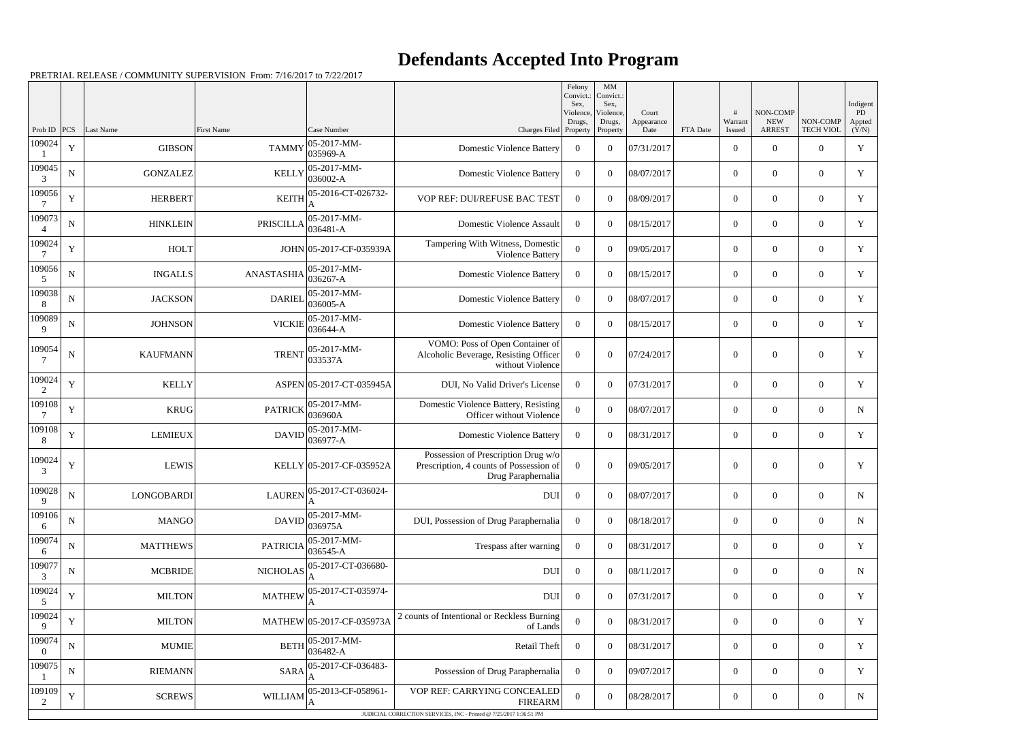## **Defendants Accepted Into Program**

PRETRIAL RELEASE / COMMUNITY SUPERVISION From: 7/16/2017 to 7/22/2017

|                    |             |                   |                                       |                                                                                                                                                                                                                                                                                                                                   |                                                                                                      | Felony<br>Convict.:<br>Sex, | $\mathbf{M}\mathbf{M}$<br>Convict.:<br>Sex, |                             |          |                   | NON-COMP                    |                              | Indigent<br>PD  |
|--------------------|-------------|-------------------|---------------------------------------|-----------------------------------------------------------------------------------------------------------------------------------------------------------------------------------------------------------------------------------------------------------------------------------------------------------------------------------|------------------------------------------------------------------------------------------------------|-----------------------------|---------------------------------------------|-----------------------------|----------|-------------------|-----------------------------|------------------------------|-----------------|
| Prob ID            | <b>PCS</b>  | Last Name         | <b>First Name</b>                     | Case Number                                                                                                                                                                                                                                                                                                                       | Charges Filed Property                                                                               | Violence,<br>Drugs,         | Violence,<br>Drugs,<br>Property             | Court<br>Appearance<br>Date | FTA Date | Warrant<br>Issued | <b>NEW</b><br><b>ARREST</b> | NON-COMP<br><b>TECH VIOL</b> | Appted<br>(Y/N) |
| 109024             | $\mathbf Y$ | <b>GIBSON</b>     | <b>TAMMY</b>                          | $ 05-2017-MM-$<br>$ 035969-A$                                                                                                                                                                                                                                                                                                     | <b>Domestic Violence Battery</b>                                                                     | $\overline{0}$              | $\theta$                                    | 07/31/2017                  |          | $\overline{0}$    | $\theta$                    | $\overline{0}$               | $\mathbf Y$     |
| 109045<br>3        | ${\bf N}$   | <b>GONZALEZ</b>   | <b>KELLY</b>                          | $ 05-2017-MM-$<br>$ 036002 - A$                                                                                                                                                                                                                                                                                                   | <b>Domestic Violence Battery</b>                                                                     | $\overline{0}$              | $\theta$                                    | 08/07/2017                  |          | $\boldsymbol{0}$  | $\overline{0}$              | $\overline{0}$               | $\mathbf Y$     |
| 109056             | Y           | <b>HERBERT</b>    | <b>KEITH</b>                          | 05-2016-CT-026732-<br>A                                                                                                                                                                                                                                                                                                           | VOP REF: DUI/REFUSE BAC TEST                                                                         | $\overline{0}$              | $\theta$                                    | 08/09/2017                  |          | $\overline{0}$    | $\Omega$                    | $\overline{0}$               | Y               |
| 109073             | ${\bf N}$   | <b>HINKLEIN</b>   | PRISCILLA $ _{036481-A}^{\circ}$      | $ 05-2017-MM-$                                                                                                                                                                                                                                                                                                                    | Domestic Violence Assault                                                                            | $\overline{0}$              | $\Omega$                                    | 08/15/2017                  |          | $\overline{0}$    | $\overline{0}$              | $\overline{0}$               | Y               |
| 109024             | $\mathbf Y$ | <b>HOLT</b>       |                                       | JOHN 05-2017-CF-035939A                                                                                                                                                                                                                                                                                                           | Tampering With Witness, Domestic<br>Violence Battery                                                 | $\overline{0}$              | $\theta$                                    | 09/05/2017                  |          | $\overline{0}$    | $\theta$                    | $\overline{0}$               | Y               |
| 109056<br>5        | ${\bf N}$   | <b>INGALLS</b>    | $ANASTASHIA _{036267-A}^{\circ\circ}$ | $ 05 - 2017 - MM -$                                                                                                                                                                                                                                                                                                               | <b>Domestic Violence Battery</b>                                                                     | $\overline{0}$              | $\Omega$                                    | 08/15/2017                  |          | $\boldsymbol{0}$  | $\overline{0}$              | $\overline{0}$               | $\mathbf Y$     |
| 109038<br>8        | ${\bf N}$   | <b>JACKSON</b>    | <b>DARIEL</b>                         | $ 05-2017-MM-$<br>$ 036005 - A$                                                                                                                                                                                                                                                                                                   | <b>Domestic Violence Battery</b>                                                                     | $\overline{0}$              | $\theta$                                    | 08/07/2017                  |          | $\overline{0}$    | $\overline{0}$              | $\overline{0}$               | Y               |
| 109089<br>9        | $\mathbf N$ | <b>JOHNSON</b>    | <b>VICKIE</b>                         | $ 05-2017-MM-$<br>036644-A                                                                                                                                                                                                                                                                                                        | <b>Domestic Violence Battery</b>                                                                     | $\overline{0}$              | $\Omega$                                    | 08/15/2017                  |          | $\boldsymbol{0}$  | $\overline{0}$              | $\overline{0}$               | Y               |
| 109054             | $\mathbf N$ | <b>KAUFMANN</b>   | <b>TRENT</b>                          | $ 05-2017-MM-$<br>033537A                                                                                                                                                                                                                                                                                                         | VOMO: Poss of Open Container of<br>Alcoholic Beverage, Resisting Officer<br>without Violence         | $\overline{0}$              | $\Omega$                                    | 07/24/2017                  |          | $\overline{0}$    | $\theta$                    | $\Omega$                     | Y               |
| 109024<br>2        | Y           | <b>KELLY</b>      |                                       | ASPEN 05-2017-CT-035945A                                                                                                                                                                                                                                                                                                          | DUI, No Valid Driver's License                                                                       | $\overline{0}$              | $\Omega$                                    | 07/31/2017                  |          | $\boldsymbol{0}$  | $\overline{0}$              | $\overline{0}$               | $\mathbf Y$     |
| 109108<br>-7       | $\mathbf Y$ | <b>KRUG</b>       | <b>PATRICK</b>                        | $ 05-2017-MM-$<br>036960A                                                                                                                                                                                                                                                                                                         | Domestic Violence Battery, Resisting<br>Officer without Violence                                     | $\Omega$                    | $\Omega$                                    | 08/07/2017                  |          | $\overline{0}$    | $\Omega$                    | $\overline{0}$               | $\mathbf N$     |
| 109108<br>8        | $\mathbf Y$ | <b>LEMIEUX</b>    | DAVID                                 | $ 05-2017-MM-$<br>036977-A                                                                                                                                                                                                                                                                                                        | <b>Domestic Violence Battery</b>                                                                     | $\overline{0}$              | $\Omega$                                    | 08/31/2017                  |          | $\overline{0}$    | $\overline{0}$              | $\overline{0}$               | Y               |
| 109024<br>3        | $\mathbf Y$ | <b>LEWIS</b>      |                                       | KELLY 05-2017-CF-035952A                                                                                                                                                                                                                                                                                                          | Possession of Prescription Drug w/o<br>Prescription, 4 counts of Possession of<br>Drug Paraphernalia | $\overline{0}$              | $\theta$                                    | 09/05/2017                  |          | $\boldsymbol{0}$  | $\theta$                    | $\overline{0}$               | $\mathbf Y$     |
| 109028<br>9        | ${\bf N}$   | <b>LONGOBARDI</b> |                                       | $\text{LAUREN} \Big  \text{05-2017-CT-036024-}_{\text{A}}$<br>ΙA                                                                                                                                                                                                                                                                  | <b>DUI</b>                                                                                           | $\mathbf{0}$                | $\overline{0}$                              | 08/07/2017                  |          | $\boldsymbol{0}$  | $\overline{0}$              | $\overline{0}$               | $\mathbf N$     |
| 109106<br>6        | ${\bf N}$   | <b>MANGO</b>      | <b>DAVID</b>                          | $ 05-2017-MM-$<br>036975A                                                                                                                                                                                                                                                                                                         | DUI, Possession of Drug Paraphernalia                                                                | $\overline{0}$              | $\overline{0}$                              | 08/18/2017                  |          | $\overline{0}$    | $\overline{0}$              | $\overline{0}$               | ${\bf N}$       |
| 109074<br>6        | ${\bf N}$   | <b>MATTHEWS</b>   | $PARTRICIA$ $036545-A$                | $ 05-2017-MM-$                                                                                                                                                                                                                                                                                                                    | Trespass after warning                                                                               | $\overline{0}$              | $\overline{0}$                              | 08/31/2017                  |          | $\boldsymbol{0}$  | $\overline{0}$              | $\overline{0}$               | Y               |
| 109077<br>3        | ${\bf N}$   | <b>MCBRIDE</b>    |                                       | NICHOLAS $\left  \begin{smallmatrix} 05-2017 & -CT & -036680 - \\ 0 & 0 & 0 & 0 \\ 0 & 0 & 0 & 0 \\ 0 & 0 & 0 & 0 \\ 0 & 0 & 0 & 0 \\ 0 & 0 & 0 & 0 \\ 0 & 0 & 0 & 0 \\ 0 & 0 & 0 & 0 \\ 0 & 0 & 0 & 0 \\ 0 & 0 & 0 & 0 \\ 0 & 0 & 0 & 0 \\ 0 & 0 & 0 & 0 & 0 \\ 0 & 0 & 0 & 0 & 0 \\ 0 & 0 & 0 & 0 & 0 \\ 0 & 0 & 0 & 0 & 0 \\ $ | <b>DUI</b>                                                                                           | $\boldsymbol{0}$            | $\theta$                                    | 08/11/2017                  |          | $\overline{0}$    | $\overline{0}$              | $\overline{0}$               | $\mathbf N$     |
| 109024<br>5        | $\mathbf Y$ | <b>MILTON</b>     | <b>MATHEW</b>                         | 05-2017-CT-035974-                                                                                                                                                                                                                                                                                                                | <b>DUI</b>                                                                                           | $\boldsymbol{0}$            | $\theta$                                    | 07/31/2017                  |          | $\overline{0}$    | $\overline{0}$              | $\overline{0}$               | Y               |
| 109024<br>9        | $\mathbf Y$ | <b>MILTON</b>     |                                       | MATHEW 05-2017-CF-035973A                                                                                                                                                                                                                                                                                                         | 2 counts of Intentional or Reckless Burning<br>of Lands                                              | $\mathbf{0}$                | $\theta$                                    | 08/31/2017                  |          | $\overline{0}$    | $\overline{0}$              | $\overline{0}$               | Y               |
| 109074<br>$\Omega$ | ${\bf N}$   | <b>MUMIE</b>      | <b>BETH</b>                           | $\begin{array}{c} 05 - 2017 - MM \\ 036482 - A \end{array}$                                                                                                                                                                                                                                                                       | Retail Theft                                                                                         | $\boldsymbol{0}$            | $\overline{0}$                              | 08/31/2017                  |          | $\overline{0}$    | $\overline{0}$              | $\overline{0}$               | Y               |
| 109075             | ${\bf N}$   | <b>RIEMANN</b>    |                                       | $SARA$ $\left  \frac{05 - 2017 - CF - 036483 - F}{2} \right $                                                                                                                                                                                                                                                                     | Possession of Drug Paraphernalia                                                                     | $\overline{0}$              | $\theta$                                    | 09/07/2017                  |          | $\overline{0}$    | $\overline{0}$              | $\overline{0}$               | Y               |
| 109109<br>2        | $\mathbf Y$ | <b>SCREWS</b>     | WILLIAM                               | 05-2013-CF-058961-                                                                                                                                                                                                                                                                                                                | VOP REF: CARRYING CONCEALED<br><b>FIREARM</b>                                                        | $\boldsymbol{0}$            | $\overline{0}$                              | 08/28/2017                  |          | $\boldsymbol{0}$  | $\overline{0}$              | $\overline{0}$               | $\mathbf N$     |
|                    |             |                   |                                       |                                                                                                                                                                                                                                                                                                                                   | JUDICIAL CORRECTION SERVICES, INC - Printed @ 7/25/2017 1:36:51 PM                                   |                             |                                             |                             |          |                   |                             |                              |                 |